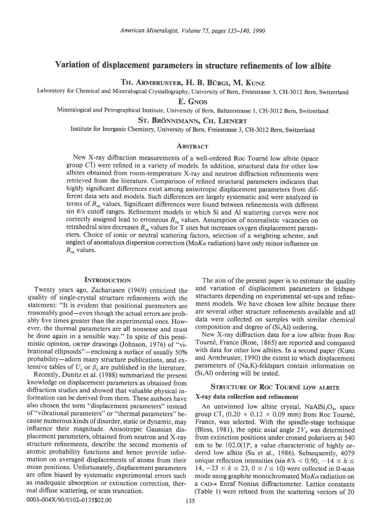# Variation of displacement parameters in structure refinements of low albite

Th. Armbruster, H. B. Bürgi, M. Kunz

Laboratory for Chemical and Mineralogical Crystallography, University of Bern, Freiestrasse 3, CH-3012 Bern, Switzerland

E. GNos

Mineralogical and Petrographical Institute, University of Bern, Baltzerstrasse l, CH-3012 Bern, Switzerland

St. Brönnimann, Ch. Lienert

Institute for Inorganic Chemistry, University of Bern, Freiestrasse 3, CH-3012 Bern, Switzerland

## **ABSTRACT**

New X-ray diffraction measurements of a well-ordered Roc Tourn6 low albite (space group  $C\bar{I}$ ) were refined in a variety of models. In addition, structural data for other low albites obtained from room-temperature X-ray and neutron diffraction refinements were retrieved from the literature. Comparison of refined structural parameters indicates that highly significant differences exist among anisotropic displacement parameters from different data sets and models. Such differences are largely systematic and were analyzed in terms of  $B_{eq}$  values. Significant differences were found between refinements with different sin  $\theta/\lambda$  cutoff ranges. Refinement models in which Si and Al scattering curves were not correctly assigned lead to erroneous  $B_{eq}$  values. Assumption of nonrealistic vacancies on tetrahedral sites decreases  $B_{eq}$  values for T sites but increases oxygen displacement parameters. Choice of ionic or neutral scattering factors, selection of a weighting scheme, and neglect of anomalous dispersion correction (Mo $K\alpha$  radiation) have only minor influence on  $B_{eq}$  values.

## **INTRODUCTION**

Twenty years ago, Zachariasen (1969) criticized the quality of single-crystal structure refinements with the statement: "It is evident that positional parameters are reasonably good-even though the actual errors are probably five times greater than the experimental ones. However, the thermal parameters are all nonsense and must be done again in a sensible way." In spite of this pessimistic opinion, or TEP drawings (Johnson, 1976) of "vibrational ellipsoids"—enclosing a surface of usually 50% probability-adorn many structure publications, and extensive tables of  $U_{ij}$  or  $\beta_{ij}$  are published in the literature.

Recently, Dunitz et al. (1988) summarized the present knowledge on displacement parameters as obtained from diffraction studies and showed that valuable physical information can be derived from them. These authors have also chosen the term "displacement parameters" instead of "vibrational parameters" or "thermal parameters" because numerous kinds of disorder, static or dynamic, may influence their magnitude. Anisotropic Gaussian displacement parameters, obtained from neutron and X-ray structure refinements, describe the second moments of atomic probability functions and hence provide information on averaged displacements of atoms from their mean positions. Unfortunately, displacement parameters are often biased by systematic experimental errors such as inadequate absorption or extinction correction, thermal diffuse scattering, or scan truncation.

The aim of the present paper is to estimate the quality and variation of displacement parameters in feldspar structures depending on experimental set-ups and refinement models. We have chosen low albite because there are several other structure refinements available and all data were collected on samples with similar chemical composition and degree of (Si,Al) ordering.

New X-ray diffraction data for a low albite from Roc Tourn6, France (Rose, 1865) are reported and compared with data for other low albites. In a second paper (Kunz and Armbruster, 1990) the extent to which displacement parameters of (Na,K)-feldspars contain information on (Si,Al) ordering will be tested.

## STRUCTURE OF ROC TOURNÉ LOW ALBITE

## X-ray data collection and refinement

An untwinned low albite crystal,  $NaAlSi<sub>3</sub>O<sub>8</sub>$ , space group CI, (0.20  $\times$  0.12  $\times$  0.09 mm) from Roc Tourné, France, was selected. With the spindle-stage technique (Bloss, 1981), the optic axial angle  $2V_x$  was determined from extinction positions under crossed polarizers at 540 nm to be  $102.0(1)$ <sup>o</sup>, a value characteristic of highly ordered low albite (Su et al., 1986). Subsequently, 4079 unique reflection intensities (sin  $\theta/\lambda < 0.90$ ,  $-14 \le h \le$ 14,  $-23 \le k \le 23$ ,  $0 \le l \le 10$ ) were collected in  $\Omega$ -scan mode using graphite monochromated  $M_0K_\alpha$  radiation on a cAD-4 Enraf Nonius difractometer. Iattice constants (Table 1) were refined from the scattering vectors of 20

0003-004X/90/0102-0135\$02.00 135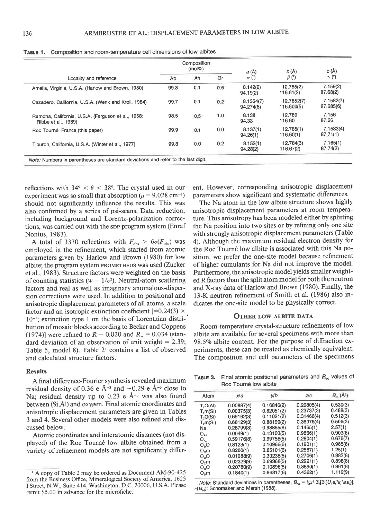|                                                                           | Composition<br>$(mol\%)$ |     |     | a(A)                   | b(A)                     | C(A)                   |
|---------------------------------------------------------------------------|--------------------------|-----|-----|------------------------|--------------------------|------------------------|
| Locality and reference                                                    | Ab                       | An  | Or  | $\alpha$ (°)           | $\beta$ (°)              | $\gamma$ (°)           |
| Amelia, Virginia, U.S.A. (Harlow and Brown, 1980)                         | 99.3                     | 0.1 | 0.6 | 8.142(2)<br>94.19(2)   | 12.785(2)<br>116.61(2)   | 7.159(2)<br>87.68(2)   |
| Cazadero, California, U.S.A. (Wenk and Kroll, 1984)                       | 99.7                     | 0.1 | 0.2 | 8.1354(7)<br>94.274(6) | 12.7852(7)<br>116.600(5) | 7.1582(7)<br>87.685(6) |
| Ramona, California, U.S.A. (Ferguson et al., 1958;<br>Ribbe et al., 1969) | 98.5                     | 0.5 | 1.0 | 8.138<br>94.33         | 12.789<br>116.60         | 7.156<br>87.66         |
| Roc Tourné, France (this paper)                                           | 99.9                     | 0.1 | 0.0 | 8.137(1)<br>94.26(1)   | 12.785(1)<br>116.60(1)   | 7.1583(4)<br>87,71(1)  |
| Tiburon, California, U.S.A. (Winter et al., 1977).                        | 99.8                     | 0.0 | 0.2 | 8.152(1)<br>94.28(2)   | 12.784(3)<br>116.67(2)   | 7.165(1)<br>87.74(2)   |

TABLE 1. Composition and room-temperature cell dimensions of low albites

reflections with  $34^{\circ} < \theta < 38^{\circ}$ . The crystal used in our experiment was so small that absorption ( $\mu$  = 9.028 cm<sup>-1</sup>) should not significantly influence the results. This was also confirmed by a series of psi-scans. Data reduction, including background and Lorentz-polarization corrections, was carried out with the sop program system (Enraf Nonius, 1983).

A total of 3370 reflections with  $F_{obs} > 6\sigma(F_{obs})$  was employed in the refinement, which started from atomic parameters given by Harlow and Brown (1980) for low albite; the program system rRoMETHEUS was used (Zucker et al., 1983). Structure factors were weighted on the basis of counting statistics ( $w = 1/\sigma^2$ ). Neutral-atom scattering factors and real as well as imaginary anomalous-dispersion corrections were used. In addition to positional and anisotropic displacement parameters of all atoms, a scale factor and an isotropic extinction coefficient [= $0.24(3)$  ×  $10^{-4}$ ; extinction type 1 on the basis of Lorentzian distribution of mosaic blocks according to Becker and Coppens (1974)] were refined to  $R = 0.020$  and  $R_w = 0.034$  (standard deviation of an observation of unit weight  $= 2.39$ ; Table 5, model 8). Table 2' contains a list of observed and calculated structure factors.

## Results

A final difference-Fourier synthesis revealed maximum residual density of 0.36 e  $A^{-3}$  and  $-0.29$  e  $A^{-3}$  close to Na; residual density up to 0.23 e  $A^{-3}$  was also found between (Si,Al) and oxygen. Final atomic coordinates and anisotropic displacement parameters are given in Tables 3 and 4. Several other models were also refined and discussed below.

Atomic coordinates and interatomic distances (not displayed) of the Roc Tourné low albite obtained from a variety of refinement models are not significantly different. However, corresponding anisotropic displacement parameters show significant and systematic differences.

The Na atom in the low albite structure shows highly anisotropic displacement parameters at room temperature. This anisotropy has been modeled either by splitting the Na position into two sites or by refining only one site with strongly anisotropic displacement parameters (Table 4). Although the maximum residual electron density for the Roc Tourné low albite is associated with this Na position, we prefer the one-site model because reflnement of higher cumulants for Na did not improve the model. Furthermore, the anisotropic model yields smaller weighted R factors than the split atom model for both the neutron and X-ray data of Harlow and Brown (1980). Finally, the l3-K neutron refinement of Smith et al. (1986) also indicates the one-site model to be physically correct.

## OTHER LOW ALBITE DATA

Room-temperature crystal-structure refinements of low albite are available for several specimens with more than 98.5% albite content. For the purpose of diffraction experiments, these can be treated as chemically equivalent. The composition and cell parameters of the specimens

**TABLE 3.** Final atomic positional parameters and  $B_{eq}$  values of Roc Tourn6 low albite

| Atom                 | xla        | y/b        | Z/C        | $B_{\text{eq}}$ (Å <sup>2</sup> ) |
|----------------------|------------|------------|------------|-----------------------------------|
| T, O(A)              | 0.00887(4) | 0.16846(2) | 0.20805(4) | 0.530(3)                          |
| T, m(Si)             | 0.00375(3) | 0.82051(2) | 0.23737(3) | 0.488(3)                          |
| T.O(Si)              | 0.69162(3) | 0.11021(2) | 0.31466(4) | 0.512(3)                          |
| T <sub>5</sub> m(Si) | 0.68129(3) | 0.88190(2) | 0.36076(4) | 0.506(3)                          |
| Na                   | 0.26799(8) | 0.98865(6) | 0.1465(1)  | 2.57(1)                           |
| $O_{A1}$             | 0.0049(1)  | 0.13103(5) | 0.9666(1)  | 0.903(8)                          |
| $O_{A2}$             | 0.59176(8) | 0.99756(5) | 0.2804(1)  | 0.676(7)                          |
| O <sub>n</sub> O     | 0.8123(1)  | 0.10966(6) | 0.1901(1)  | 0.985(8)                          |
| $O_{B}m$             | 0.8200(1)  | 0.85101(6) | 0.2587(1)  | 1.25(1)                           |
| O <sub>c</sub>       | 0.01288(9) | 0.30238(5) | 0.2706(1)  | 0.883(8)                          |
| $O_{c}m$             | 0.02329(9) | 0.69368(5) | 0.2291(1)  | 0.898(8)                          |
| $O_0O$               | 0.20780(9) | 0.10896(5) | 0.3890(1)  | 0.961(8)                          |
| $O_{p}m$             | 0.1840(1)  | 0.86817(6) | 0.4362(1)  | 1.112(9)                          |

Note: Standard deviations in parentheses.  $B_{eq} = \frac{6}{3}\pi^2 \sum_i [\sum_j (U_{ij}a_i^*a_j^*a_i a_j)].$  $\sigma(B_{\text{eq}})$ : Schomaker and Marsh (1983).

<sup>&#</sup>x27; A copy of Table 2 may be ordered as Document AM-90-425 from the Business Office, Mineralogical Society of America, 1625 I Street, N.W., Suite 414, Washington, D.C. 20006, U.S.A. Please remit \$5.00 in advance for the microfiche.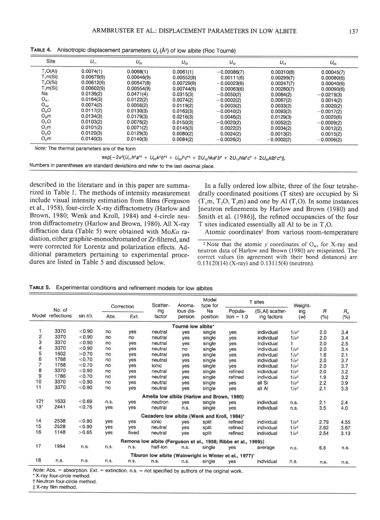| Site             | $U_{11}$   | $U_{22}$   | $U_{33}$   | $U_{12}$      | $U_{13}$     | $U_{23}$     |
|------------------|------------|------------|------------|---------------|--------------|--------------|
| $T_1O(A)$        | 0.0074(1)  | 0.0068(1)  | 0.0061(1)  | $-0.00086(7)$ | 0.00310(8)   | 0.00045(7)   |
| T,m(Si)          | 0.00679(9) | 0.00646(9) | 0.00552(8) | 0.00111(6)    | 0.00299(7)   | 0.00080(6)   |
| T,O(Si)          | 0.00612(9) | 0.00547(8) | 0.00729(9) | $-0.00023(6)$ | 0.00247(7)   | 0.00040(6)   |
| $T_1m(Si)$       | 0.00602(9) | 0.00554(9) | 0.00744(9) | 0.00063(6)    | 0.00280(7)   | 0.00090(6)   |
| Na               | 0.0136(2)  | 0.0471(4)  | 0.0315(3)  | $-0.0050(2)$  | 0.0084(2)    | $-0.0219(3)$ |
| $O_{A1}$         | 0.0164(3)  | 0.0122(2)  | 0.0074(2)  | $-0.0002(2)$  | 0.0067(2)    | 0.0014(2)    |
| $O_{A2}$         | 0.0074(2)  | 0.0056(2)  | 0.0119(2)  | 0.0003(2)     | 0.0033(2)    | 0.0020(2)    |
| O <sub>n</sub> O | 0.0117(2)  | 0.0130(3)  | 0.0162(3)  | $-0.0040(2)$  | 0.0093(2)    | $-0.0017(2)$ |
| $O_{B}m$         | 0.0134(3)  | 0.0179(3)  | 0.0216(3)  | 0.0046(2)     | 0.0129(3)    | 0.0020(6)    |
| $O_{c}O$         | 0.0103(2)  | 0.0076(2)  | 0.0150(3)  | $-0.0020(2)$  | 0.0052(2)    | $-0.0009(2)$ |
| $O_c m$          | 0.0101(2)  | 0.0071(2)  | 0.0145(3)  | 0.0022(2)     | 0.0034(2)    | 0.0012(2)    |
| $O_0O$           | 0.0120(3)  | 0.0129(3)  | 0.0080(2)  | 0.0024(2)     | 0.0013(2)    | 0.0015(2)    |
| $O_0m$           | 0.0140(3)  | 0.0140(3)  | 0.0084(2)  | $-0.0026(2)$  | $-0.0002(2)$ | $-0.0006(2)$ |

**TABLE 4.** Anisotropic displacement parameters  $U_n(\hat{A}^2)$  of low albite (Roc Tourné)

Note.'The thermal parameters are of the form

 $exp[-2\pi^2(U_{11}h^2a^{*2} + U_{22}k^2b^{*2} + U_{33}l^2c^{*2} + 2U_{12}hka^{*}b^{*} + 2U_{13}hla^{*}c^{*} + 2U_{23}klb^{*}c^{*})].$ 

Numbers in parentheses are standard deviations and refer to the last decimal place.

described in the literature and in this paper are summarized in Table 1. The methods of intensity measurement include visual intensity estimation from films (Ferguson et al., 1958), four-circle X-ray diffractometry (Harlow and Brown, 1980; Wenk and Kroll, 1984) and 4-circle neutron diffractometry (Harlow and Brown, 1980). All X-ray diffraction data (Table 5) were obtained with Mo $K_{\alpha}$  radiation, either graphite-monochromated ot Zr-filtered, and were corrected for Lorentz and polarization effects. Additional parameters pertaining to experimental procedures are listed in Table 5 and discussed below.

In a fully ordered low albite, three of the four tetrahedrally coordinated positions (T sites) are occupied by Si  $(T_1m, T_2O, T_2m)$  and one by Al  $(T_1O)$ . In some instances [neutron refinements by Harlow and Brown (1980) and Smith et al. (1986)], the refined occupancies of the four T sites indicated essentially all Al to be in T,O.

Atomic coordinates<sup>2</sup> from various room-temperature

<sup>2</sup> Note that the atomic y coordinates of  $O_{A1}$  for X-ray and neutron data of Harlow and Brown (1980) are misprinted. The correct values (in agreement with their bond distances) are 0.13120(14) (X-ray) and 0.13115(4) (neutron).

| TABLE 5. Experimental conditions and refinement models for low albites |  |
|------------------------------------------------------------------------|--|
|------------------------------------------------------------------------|--|

|       |                       |                      |      | Correction | Scatter-                                    | Anoma-               | Model<br>type for |                                                                | T sites                          | Weight-      |                       |                |
|-------|-----------------------|----------------------|------|------------|---------------------------------------------|----------------------|-------------------|----------------------------------------------------------------|----------------------------------|--------------|-----------------------|----------------|
| Model | No. of<br>reflections | sin $\theta/\lambda$ | Abs. | Ext.       | ing<br>factor                               | lous dis-<br>persion | Na<br>position    | Popula-<br>tion = $1.0$                                        | (Si, Al) scatter-<br>ing factors | ing<br>(w)   | $\overline{B}$<br>(%) | $R_{w}$<br>(%) |
|       |                       |                      |      |            |                                             | Tourné low albite*   |                   |                                                                |                                  |              |                       |                |
| 1     | 3370                  | < 0.90               | no   | yes        | neutral                                     | ves                  | single            | yes                                                            | individual                       | $1/\sigma^2$ | 2.0                   | 3.4            |
| 2     | 3370                  | < 0.90               | no   | no.        | neutral                                     | yes                  | single            | yes                                                            | individual                       | $1/\sigma^2$ | 2.0                   | 3.4            |
| 3     | 3370                  | < 0.90               | no   | yes        | neutral                                     | yes                  | single            | yes                                                            | individual                       |              | 2.0                   | 2.5            |
| 4     | 3370                  | < 0.90               | no   | ves        | neutral                                     | no                   | single            | yes                                                            | individual                       | $1/\sigma^2$ | 2.0                   | 3.4            |
| 5     | 1602                  | >0.70                | no   | ves        | neutral                                     | ves                  | single            | yes                                                            | individual                       | $1/\sigma^2$ | 1.6                   | 2.1            |
| 6     | 1768                  | < 0.70               | no   | yes        | neutral                                     | yes                  | single            | yes                                                            | individual                       | $1/\sigma^2$ | 2.0                   | 3.7            |
| 7     | 1768                  | < 0.70               | no   | yes        | ionic                                       | ves                  | single            | yes                                                            | individual                       | $1/\sigma^2$ | 2.0                   | 3.7            |
| 8     | 3370                  | < 0.90               | no   | yes        | neutral                                     | ves                  | single            | refined                                                        | individual                       | $1/\sigma^2$ | 2.0                   | 3.2            |
| 9     | 1786                  | < 0.70               | no   | ves        | neutral                                     | ves                  | single            | refined                                                        | individual                       | $1/\sigma^2$ | 1.9                   | 3.2            |
| 10    | 3370                  | < 0.90               | no   | ves        | neutral                                     | yes                  | single            | yes                                                            | all Si                           | $1/\sigma^2$ | 2.2                   | 3.9            |
| 11    | 3370                  | < 0.90               | no   | yes        | neutral                                     | yes                  | single            | yes                                                            | all Al                           | $1/\sigma^2$ | 2.1                   | 3.3            |
|       |                       |                      |      |            | Amelia low albite (Harlow                   |                      |                   | and Brown, 1980)                                               |                                  |              |                       |                |
| 12†   | 1633                  | < 0.69               | n.s. | ves        | neutron                                     | yes                  | single            | yes                                                            | individual                       | n.s.         | 2.1                   | 2.4            |
| $13*$ | 2441                  | < 0.76               | yes  | ves        | neutral                                     | n.s.                 | single            | yes                                                            | individual                       | n.s.         | 3.5                   | 4.0            |
|       |                       |                      |      |            | Cazadero low albite (Wenk and Kroll, 1984)* |                      |                   |                                                                |                                  |              |                       |                |
| 14    | 2538                  | < 0.90               | ves  | ves        | ionic                                       | ves                  | split             | refined                                                        | individual                       | $1/\sigma^2$ | 2.79                  | 4.55           |
| 15    | 2528                  | < 0.90               | yes  | ves        | neutral                                     | ves                  | split             | refined                                                        | individual                       | $1/\sigma^2$ | 2.62                  | 3.67           |
| 16    | 1148                  | >0.65                | yes  | fixed      | neutral                                     | ves                  | split             | refined                                                        | individual                       | $1/\sigma^2$ | 2.54                  | 3.13           |
|       |                       |                      |      |            |                                             |                      |                   | Ramona low albite (Ferguson et al., 1958; Ribbe et al., 1969): |                                  |              |                       |                |
| 17    | 1994                  | n.s.                 | n.s. | n.s.       | half-ion                                    | n.s.                 | single            | yes                                                            | average                          | n.s.         | 6.8                   | n.s.           |
|       |                       |                      |      |            |                                             |                      |                   | Tiburon low albite (Wainwright in Winter et al., 1977)*        |                                  |              |                       |                |
| 18    | n.s.                  | n.s.                 | n.s. | n.s.       | n.s.                                        | n.s.                 | single            | ves                                                            | individual                       | n.s.         | n.s.                  | n.s.           |

Note: Abs. = absorption. Ext. = extinction. n.s. = not specified by authors of the original work.

. X-ray four-circle method.

t Neutron four-circle method.

 $\ddagger$  X-ray film method.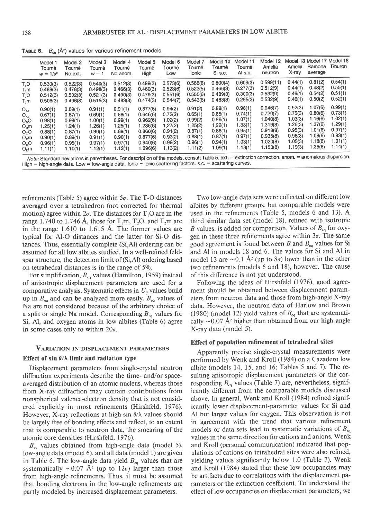**TABLE 6.**  $B_{\text{eq}}$  ( $\mathbf{A}^2$ ) values for various refinement models

|               | Model 1<br>Tourné<br>$w = 1/\sigma^2$ | Model 2<br>Tourné<br>No ext. | Model 3<br>Tourné<br>$w = 1$ | Model 4<br>Tourné<br>No anom. | Model 5<br>Tourné<br>High | Model 6<br>Tourné<br>Low | Model 7<br>Tourné<br><b>Ionic</b> | Model 10<br>Tourné<br>Si s.c. | Model 11<br>Tourné<br>Al s.c. | Model 12<br>Amelia<br>neutron | Amelia<br>X-ray | Model 13 Model 17 Model 18<br>Ramona<br>average | Tiburon |
|---------------|---------------------------------------|------------------------------|------------------------------|-------------------------------|---------------------------|--------------------------|-----------------------------------|-------------------------------|-------------------------------|-------------------------------|-----------------|-------------------------------------------------|---------|
| T,O           | 0.530(3)                              | 0.522(3)                     | 0.540(3)                     | 0.512(3)                      | 0.499(3)                  | 0.573(6)                 | 0.566(6)                          | 0.800(4)                      | 0.609(3)                      | 0.599(11)                     | 0.44(1)         | 0.81(2)                                         | 0.54(1) |
| T,m           | 0.488(3)                              | 0.478(3)                     | 0.498(3)                     | 0.466(3)                      | 0.460(3)                  | 0.523(6)                 | 0.523(5)                          | 0.466(3)                      | 0.277(3)                      | 0.512(9)                      | 0.44(1)         | 0.48(2)                                         | 0.55(1) |
| T,O           | 0.512(3)                              | 0.502(3)                     | 0.521(3)                     | 0.490(3)                      | 0.479(3)                  | 0.551(6)                 | 0.550(6)                          | 0.489(3)                      | 0.300(3)                      | 0.532(9)                      | 0.46(1)         | 0.54(2)                                         | 0.51(1) |
| $T_2m$        | 0.506(3)                              | 0.496(3)                     | 0.515(3)                     | 0.483(3)                      | 0.474(3)                  | 0.544(7)                 | 0.543(6)                          | 0.483(3)                      | 0.295(3)                      | 0.532(9)                      | 0.46(1)         | 0.50(2)                                         | 0.52(1) |
| $O_{A1}$      | 0.90(1)                               | 0.89(1)                      | 0.91(1)                      | 0.91(1)                       | 0.877(6)                  | 0.94(2)                  | 0.91(2)                           | 0.88(1)                       | 0.98(1)                       | 0.946(7)                      | 0.92(3)         | 1.07(6)                                         | 0.99(1) |
| $O_{A2}$      | 0.67(1)                               | 0.67(1)                      | 0.69(1)                      | 0.68(1)                       | 0.646(6)                  | 0.72(2)                  | 0.65(1)                           | 0.65(1)                       | 0.74(1)                       | 0.720(7)                      | 0.75(3)         | 0.80(6)                                         | 0.73(1) |
| $O_6O$        | 0.98(1)                               | 0.98(1)                      | 1.00(1)                      | 0.99(1)                       | 0.962(6)                  | 1.02(2)                  | 0.99(2)                           | 0.96(1)                       | 1.07(1)                       | 1.040(8)                      | 1.03(3)         | 1.16(6)                                         | 1.02(1) |
| $O_{\rm B}$ m | 1.25(1)                               | 1.24(1)                      | 1.26(1)                      | 1.25(1)                       | 1.236(6)                  | 1.27(2)                  | 1.25(2)                           | 1,22(1)                       | 1.33(1)                       | 1.319(8)                      | 1.26(3)         | 1.37(6)                                         | 1.29(1) |
| $O_{c}O$      | 0.88(1)                               | 0.87(1)                      | 0.90(1)                      | 0.89(1)                       | 0.860(6)                  | 0.91(2)                  | 0.87(1)                           | 0.86(1)                       | 0.95(1)                       | 0.918(8)                      | 0.95(3)         | 1.01(6)                                         | 0.97(1) |
| $O_c m$       | 0.90(1)                               | 0.89(1)                      | 0.91(1)                      | 0.90(1)                       | 0.877(6)                  | 0.93(2)                  | 0.88(1)                           | 0.87(1)                       | 0.97(1)                       | 0.935(8)                      | 0.98(3)         | 1.08(6)                                         | 0.93(1) |
| $O_0O$        | 0.96(1)                               | 0.95(1)                      | 0.97(1)                      | 0.97(1)                       | 0.940(6)                  | 0.99(2)                  | 0.96(1)                           | 0.94(1)                       | 1.03(1)                       | 1.020(8)                      | 1.05(3)         | 1.18(6)                                         | 1.01(1) |
| $O_p m$       | 1.11(1)                               | 1.10(1)                      | 1.12(1)                      | 1.12(1)                       | 1.096(6)                  | 1.13(2)                  | 1.11(2)                           | 1.09(1)                       | 1.18(1)                       | 1.153(8)                      | 1.19(3)         | 1.35(6)                                         | 1.14(1) |

range 1.740 to 1.746 Å, those for  $T_1m$ ,  $T_2O$ , and  $T_2m$  are in the range  $1.610$  to  $1.615$  Å. The former values are refinements (Table 5) agree within  $5\sigma$ . The T-O distances averaged over a tetrahedron (not corrected for thermal motion) agree within  $2\sigma$ . The distances for T<sub>1</sub>O are in the typical for Al-O distances and the latter for Si-O distances. Thus, essentially complete (Si,Al) ordering can be assumed for all low albites studied. In a well-refined feldspar stmcture, the detection limit of (Si,Al) ordering based on tetrahedral distances is in the range of 5%.

For simplification,  $B_{eq}$  values (Hamilton, 1959) instead of anisotropic displacement parameters are used for a comparative analysis. Systematic effects in  $U_n$  values build up in  $B_{eq}$  and can be analyzed more easily.  $B_{eq}$  values of Na are not considered because of the arbitrary choice of a split or single Na model. Corresponding  $B_{eq}$  values for Si, Al, and oxygen atoms in low albites (Table 6) agree in some cases only to within  $20\sigma$ .

#### VARIATION IN DISPLACEMENT PARAMETERS

#### Effect of sin  $\theta/\lambda$  limit and radiation type

Displacement parameters from single-crystal neutron diffraction experiments describe the time- and/or spaceaveraged distribution of an atomic nucleus, whereas those from X-ray diffraction may contain contributions from nonspherical valence-electron density that is not considered explicitly in most refinements (Hirshfeld, 1976). However, X-ray reflections at high sin  $\theta/\lambda$  values should be largely free of bonding effects and reflect, to an extent that is comparable to neutron data, the smearing of the atomic core densities (Hirshfeld, 1976).

 $B_{\rm eq}$  values obtained from high-angle data (model 5), low-angle data (model 6), and all data (model 1) are given in Table 6. The low-angle data yield  $B_{eq}$  values that are systematically  $\sim 0.07$  Å<sup>2</sup> (up to  $12\sigma$ ) larger than those from high-angle refinements. Thus, it must be assumed that bonding electrons in the low-angle refinements are partly modeled by increased displacement parameters.

Two low-angle data sets were collected on different low albites by different groups, but comparable models were used in the refinements (Table 5, models 6 and l3). A third similar data set (model 18), refined with isotropic B values, is added for comparison. Values of  $B_{eq}$  for oxygen in these three refinements agree within  $3\sigma$ . The same good agreement is found between B and  $B_{eq}$  values for Si and Al in models l8 and 6. The values for Si and AI in model 13 are  $\sim$  0.1 Å<sup>2</sup> (up to  $8\sigma$ ) lower than in the other two refinements (models 6 and l8), however. The cause of this difference is not yet understood.

Following the ideas of Hirshfeld (1976), good agreement should be obtained between displacement parameters from neutron data and those from high-angle X-ray data. However, the neutron data of Harlow and Brown (1980) (model 12) yield values of  $B_{eq}$  that are systematically  $\sim$  0.07 Å<sup>2</sup> higher than obtained from our high-angle X-ray data (model 5).

## Effect of population refinement of tetrahedral sites

Apparently precise single-crystal measurements were performed by Wenk and Kroll (1984) on a Cazadero low albite (models 14, 15, and 16; Tables 5 and 7). The resulting anisotropic displacement parameters or the corresponding  $B_{\rm eq}$  values (Table 7) are, nevertheless, significantly different from the comparable models discussed above. In general, Wenk and Kroll (198a) refined significantly lower displacement-parameter values for Si and Al but larger values for oxygen. This observation is not in agreement with the trend that various refinement models or data sets lead to systematic variations of  $B_{eq}$ values in the same direction for cations and anions. Wenk and Kroll (personal communication) indicated that populations of cations on tetrahedral sites were also refined, yielding values significantly below 1.0 (Table 7). Wenk and Kroll (1984) stated that these low occupancies may be artifacts due to correlations with the displacement parameters or the extinction coefficient. To understand the effect of low occupancies on displacement parameters, we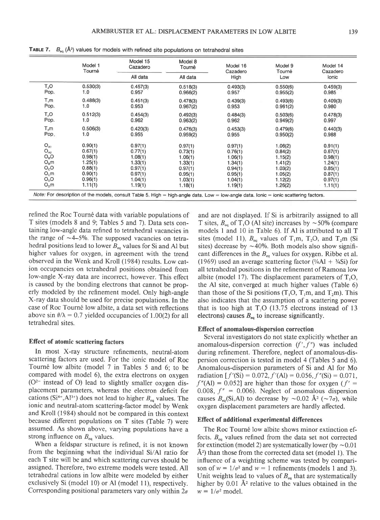|          | Model 1  | Model 15 | Model 8  | Model 16 | Model 9  | Model 14 |
|----------|----------|----------|----------|----------|----------|----------|
|          | Tourné   | Cazadero | Tourné   | Cazadero | Tourné   | Cazadero |
|          |          | All data | All data | High     | Low      | Ionic    |
| $T_2O$   | 0.530(3) | 0.457(3) | 0.518(3) | 0.493(3) | 0.550(6) | 0.459(3) |
| Pop.     | 1.0      | 0.957    | 0.966(2) | 0.957    | 0.955(2) | 0.985    |
| T, m     | 0.488(3) | 0.451(3) | 0.478(3) | 0.439(3) | 0.493(6) | 0.409(3) |
| Pop.     | 1.0      | 0.953    | 0.967(2) | 0.953    | 0.961(2) | 0.980    |
| $T_2O$   | 0.512(3) | 0.454(3) | 0.492(3) | 0.484(3) | 0.503(6) | 0.478(3) |
| Pop.     | 1.0      | 0.962    | 0.963(2) | 0.962    | 0.949(2) | 0.997    |
| $T_2m$   | 0.506(3) | 0.420(3) | 0.476(3) | 0.453(3) | 0.479(6) | 0.440(3) |
| Pop.     | 1.0      | 0.955    | 0.959(2) | 0.955    | 0.950(2) | 0.988    |
| $O_{A1}$ | 0.90(1)  | 0.97(1)  | 0.97(1)  | 0.97(1)  | 1.06(2)  | 0.91(1)  |
| $O_{A2}$ | 0.67(1)  | 0.77(1)  | 0.73(1)  | 0.76(1)  | 0.84(2)  | 0.67(1)  |
| $O_B$ O  | 0.98(1)  | 1.08(1)  | 1.06(1)  | 1.06(1)  | 1.15(2)  | 0.98(1)  |
| $O_Bm$   | 1.25(1)  | 1.33(1)  | 1.33(1)  | 1.34(1)  | 1.41(2)  | 1.24(1)  |
| $O_0$    | 0.88(1)  | 0.97(1)  | 0.97(1)  | 0.94(1)  | 1.03(2)  | 0.85(1)  |
| $O_c$ m  | 0.90(1)  | 0.97(1)  | 0.95(1)  | 0.95(1)  | 1.05(2)  | 0.87(1)  |
| $O_0O$   | 0.96(1)  | 1.04(1)  | 1.03(1)  | 1.04(1)  | 1.12(2)  | 0.97(1)  |
| $O_p m$  | 1.11(1)  | 1.19(1)  | 1.18(1)  | 1.19(1)  | 1.26(2)  | 1.11(1)  |

**TABLE 7.**  $B_{eq}$  ( $\AA$ <sup>2</sup>) values for models with refined site populations on tetrahedral sites

refined the Roc Tourné data with variable populations of T sites (models 8 and 9; Tables 5 and 7). Data sets containing low-angle data refined to tetrahedral vacancies in the range of  $\sim$  4-5%. The supposed vacancies on tetrahedral positions lead to lower  $B_{eq}$  values for Si and Al but higher values for oxygen, in agreement with the trend observed in the Wenk and Kroll (1984) results. Low cation occupancies on tetrahedral positions obtained from low-angle X-ray data are incorrect, however. This effect is caused by the bonding electrons that cannot be properly modeled by the refinement model. Only high-angle X-ray data should be used for precise populations. In the case of Roc Tourné low albite, a data set with reflections above sin  $\theta/\lambda = 0.7$  yielded occupancies of 1.00(2) for all tetrahedral sites.

## Eflect of atomic scattering factors

In most X-ray structure refinements, neutral-atom scattering factors are used. For the ionic model of Roc Tourn6 low albite (model 7 in Tables 5 and 6; to be compared with model 6), the extra electrons on oxygen  $(O<sup>2</sup>$  instead of O) lead to slightly smaller oxygen displacement parameters, whereas the electron deficit for cations (Si<sup>4+</sup>,Al<sup>3+</sup>) does not lead to higher  $B_{eq}$  values. The ionic and neutral-atom scattering-factor model by Wenk and Kroll (1984) should not be compared in this context because different populations on T sites (Table 7) were assumed. As shown above, varying populations have a strong influence on  $B_{eq}$  values.

When a feldspar structure is refined, it is not known from the beginning what the individual Si/Al ratio for each T site will be and which scattering curves should be assigned. Therefore, two extreme models were tested. All tetrahedral cations in low albite were modeled by either exclusively Si (model 10) or Al (model 11), respectively. Corresponding positional parameters vary only within  $2\sigma$ 

and are not displayed. If Si is arbitrarily assigned to all T sites,  $B_{eq}$  of T<sub>1</sub>O (Al site) increases by  $\sim$  50% (compare models I and 10 in Table 6). If Al is attributed to all T sites (model 11),  $B_{eq}$  values of T<sub>1</sub>m, T<sub>2</sub>O, and T<sub>2</sub>m (Si sites) decrease by  $\sim$  40%. Both models also show significant differences in the  $B_{eq}$  values for oxygen. Ribbe et al. (1969) used an average scattering factor ( $\frac{1}{4}$ Al +  $\frac{3}{4}$ Si) for all tetrahedral positions in the refinement of Ramona low albite (model 17). The displacement parameters of  $T<sub>1</sub>O$ , the Al site, converged at much higher values (Table 6) than those of the Si positions  $(T_1O, T_1m,$  and  $T_2m)$ . This also indicates that the assumption of a scattering power that is too high at  $T_1O$  (13.75 electrons instead of 13 electrons) causes  $B_{eq}$  to increase significantly.

#### Eflect of anomalous-dispersion correction

Several investigators do not state explicitly whether an anomalous-dispersion correction  $(f', f'')$  was included during refinement. Therefore, neglect of anomalous-dispersion correction is tested in model 4 (Tables 5 and 6). Anomalous-dispersion parameters of Si and Al for Mo radiation  $[f'(Si) = 0.072, f'(Al) = 0.056, f''(Si) = 0.071,$  $f''(Al) = 0.052$ ] are higher than those for oxygen ( $f' =$ 0.008,  $f'' = 0.006$ ). Neglect of anomalous dispersion causes  $B_{eq}(Si, Al)$  to decrease by  $\sim 0.02$  Å<sup>2</sup> ( $\sim 7\sigma$ ), while oxygen displacement parameters are hardly afected.

## Effect of additional experimental diflerences

The Roc Tourné low albite shows minor extinction effects.  $B_{eq}$  values refined from the data set not corrected for extinction (model 2) are systematically lower (by  $\sim 0.01$  $\AA$ <sup>2</sup>) than those from the corrected data set (model 1). The influence of a weighting scheme was tested by comparison of  $w = 1/\sigma^2$  and  $w = 1$  refinements (models 1 and 3). Unit weights lead to values of  $B_{eq}$  that are systematically higher by  $0.01$  Å<sup>2</sup> relative to the values obtained in the  $w = 1/\sigma^2$  model.